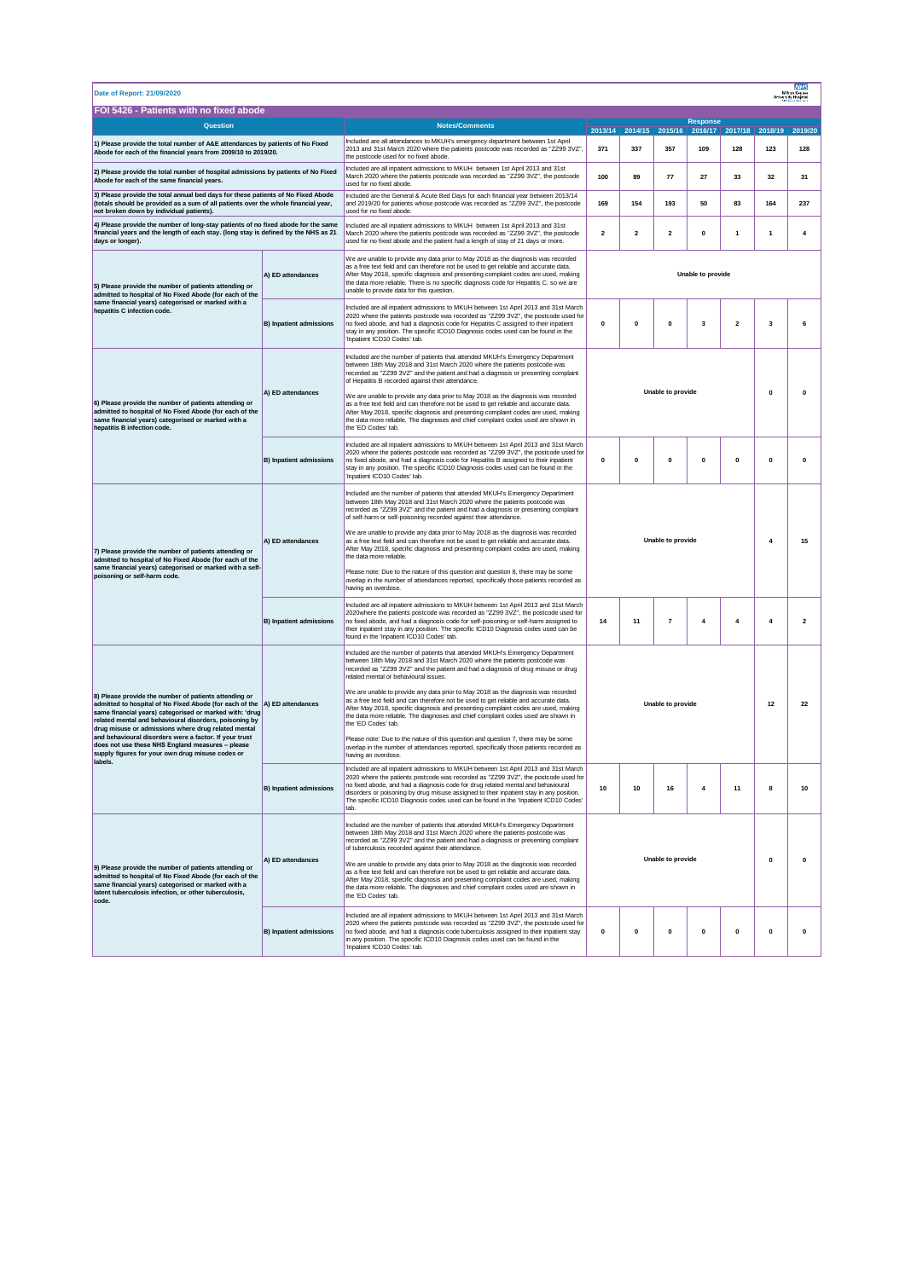| <b>NHS</b><br>Date of Report: 21/09/2020<br>Milton Keyner<br>University Hospita                                                                                                                                                                                                                                                                                                                                                                                                              |                                |                                                                                                                                                                                                                                                                                                                                                                                                                                                         |                               |              |                          |                                                 |                         |                |                |  |  |
|----------------------------------------------------------------------------------------------------------------------------------------------------------------------------------------------------------------------------------------------------------------------------------------------------------------------------------------------------------------------------------------------------------------------------------------------------------------------------------------------|--------------------------------|---------------------------------------------------------------------------------------------------------------------------------------------------------------------------------------------------------------------------------------------------------------------------------------------------------------------------------------------------------------------------------------------------------------------------------------------------------|-------------------------------|--------------|--------------------------|-------------------------------------------------|-------------------------|----------------|----------------|--|--|
| FOI 5426 - Patients with no fixed abode<br><b>Response</b>                                                                                                                                                                                                                                                                                                                                                                                                                                   |                                |                                                                                                                                                                                                                                                                                                                                                                                                                                                         |                               |              |                          |                                                 |                         |                |                |  |  |
| Question                                                                                                                                                                                                                                                                                                                                                                                                                                                                                     |                                | <b>Notes/Comments</b>                                                                                                                                                                                                                                                                                                                                                                                                                                   |                               |              |                          | 2013/14 2014/15 2015/16 2016/17 2017/18 2018/19 |                         |                | 2019/20        |  |  |
| 1) Please provide the total number of A&E attendances by patients of No Fixed<br>Abode for each of the financial years from 2009/10 to 2019/20.                                                                                                                                                                                                                                                                                                                                              |                                | Included are all attendances to MKUH's emergency department between 1st April<br>2013 and 31st March 2020 where the patients postcode was recorded as "ZZ99 3VZ",<br>the postcode used for no fixed abode.                                                                                                                                                                                                                                              | 371<br>337                    |              | 357                      | 109                                             | 128                     | 123            | 128            |  |  |
| 2) Please provide the total number of hospital admissions by patients of No Fixed<br>Abode for each of the same financial years.                                                                                                                                                                                                                                                                                                                                                             |                                | Included are all inpatient admissions to MKUH between 1st April 2013 and 31st<br>March 2020 where the patients postcode was recorded as "ZZ99 3VZ", the postcode<br>used for no fixed abode.                                                                                                                                                                                                                                                            | 100                           | 89           | 77                       | 27                                              | 33                      | 32             | 31             |  |  |
| 3) Please provide the total annual bed days for these patients of No Fixed Abode<br>(totals should be provided as a sum of all patients over the whole financial year,<br>not broken down by individual patients).                                                                                                                                                                                                                                                                           |                                | Included are the General & Acute Bed Days for each financial year between 2013/14<br>and 2019/20 for patients whose postcode was recorded as "ZZ99 3VZ", the postcode<br>used for no fixed abode.                                                                                                                                                                                                                                                       | 169<br>154                    |              | 193                      | 50                                              | 83                      | 164            | 237            |  |  |
| 4) Please provide the number of long-stay patients of no fixed abode for the same<br>financial years and the length of each stay. (long stay is defined by the NHS as 21<br>days or longer).                                                                                                                                                                                                                                                                                                 |                                | Included are all inpatient admissions to MKUH between 1st April 2013 and 31st<br>March 2020 where the patients postcode was recorded as "ZZ99 3VZ", the postcode<br>used for no fixed abode and the patient had a length of stay of 21 days or more.                                                                                                                                                                                                    | $\overline{\mathbf{2}}$       | 2            | 2                        | 0                                               | 1                       | 1              | 4              |  |  |
| 5) Please provide the number of patients attending or<br>admitted to hospital of No Fixed Abode (for each of the<br>same financial years) categorised or marked with a<br>hepatitis C infection code.                                                                                                                                                                                                                                                                                        | A) ED attendances              | We are unable to provide any data prior to May 2018 as the diagnosis was recorded<br>as a free text field and can therefore not be used to get reliable and accurate data.<br>After May 2018, specific diagnosis and presenting complaint codes are used, making<br>the data more reliable. There is no specific diagnosis code for Hepatitis C, so we are<br>unable to provide data for this question.                                                 | Unable to provide             |              |                          |                                                 |                         |                |                |  |  |
|                                                                                                                                                                                                                                                                                                                                                                                                                                                                                              | <b>B) Inpatient admissions</b> | Included are all inpatient admissions to MKUH between 1st April 2013 and 31st March<br>2020 where the patients postcode was recorded as "ZZ99 3VZ", the postcode used for<br>no fixed abode, and had a diagnosis code for Hepatitis C assigned to their inpatient<br>stay in any position. The specific ICD10 Diagnosis codes used can be found in the<br>'Inpatient ICD10 Codes' tab.                                                                  | $\mathbf 0$                   | $\mathbf{0}$ | $\pmb{0}$                | 3                                               | $\overline{\mathbf{2}}$ | 3              | 6              |  |  |
| 6) Please provide the number of patients attending or<br>admitted to hospital of No Fixed Abode (for each of the<br>same financial years) categorised or marked with a<br>hepatitis B infection code.                                                                                                                                                                                                                                                                                        |                                | Included are the number of patients that attended MKUH's Emergency Department<br>between 18th May 2018 and 31st March 2020 where the patients postcode was<br>recorded as "ZZ99 3VZ" and the patient and had a diagnosis or presenting complaint<br>of Hepatitis B recorded against their attendance.                                                                                                                                                   |                               |              |                          |                                                 |                         |                |                |  |  |
|                                                                                                                                                                                                                                                                                                                                                                                                                                                                                              | A) ED attendances              | We are unable to provide any data prior to May 2018 as the diagnosis was recorded<br>as a free text field and can therefore not be used to get reliable and accurate data.<br>After May 2018, specific diagnosis and presenting complaint codes are used, making<br>the data more reliable. The diagnoses and chief complaint codes used are shown in<br>the 'FD Codes' tab.                                                                            | Unable to provide             |              |                          | $\mathbf 0$                                     | 0                       |                |                |  |  |
|                                                                                                                                                                                                                                                                                                                                                                                                                                                                                              | B) Inpatient admissions        | Included are all inpatient admissions to MKUH between 1st April 2013 and 31st March<br>2020 where the patients postcode was recorded as "ZZ99 3VZ", the postcode used for<br>no fixed abode, and had a diagnosis code for Hepatitis B assigned to their inpatient<br>stay in any position. The specific ICD10 Diagnosis codes used can be found in the<br>'Inpatient ICD10 Codes' tab.                                                                  | $\mathbf 0$                   | $\pmb{0}$    | $\pmb{0}$                | $\pmb{\mathsf{o}}$                              | $\pmb{0}$               | $\pmb{0}$      | $\pmb{0}$      |  |  |
| 7) Please provide the number of patients attending or<br>admitted to hospital of No Fixed Abode (for each of the<br>same financial years) categorised or marked with a self-<br>poisoning or self-harm code.                                                                                                                                                                                                                                                                                 |                                | Included are the number of patients that attended MKUH's Emergency Department<br>between 18th May 2018 and 31st March 2020 where the patients postcode was<br>recorded as "ZZ99 3VZ" and the patient and had a diagnosis or presenting complaint<br>of self-harm or self-poisoning recorded against their attendance.                                                                                                                                   | Unable to provide<br>4<br>15  |              |                          |                                                 |                         |                |                |  |  |
|                                                                                                                                                                                                                                                                                                                                                                                                                                                                                              | A) ED attendances              | We are unable to provide any data prior to May 2018 as the diagnosis was recorded<br>as a free text field and can therefore not be used to get reliable and accurate data.<br>After May 2018, specific diagnosis and presenting complaint codes are used, making<br>the data more reliable.                                                                                                                                                             |                               |              |                          |                                                 |                         |                |                |  |  |
|                                                                                                                                                                                                                                                                                                                                                                                                                                                                                              |                                | Please note: Due to the nature of this question and question 8, there may be some<br>overlap in the number of attendances reported, specifically those patients recorded as<br>having an overdose.                                                                                                                                                                                                                                                      |                               |              |                          |                                                 |                         |                |                |  |  |
|                                                                                                                                                                                                                                                                                                                                                                                                                                                                                              | <b>B) Inpatient admissions</b> | Included are all inpatient admissions to MKUH between 1st April 2013 and 31st March<br>2020where the patients postcode was recorded as "ZZ99 3VZ", the postcode used for<br>no fixed abode, and had a diagnosis code for self-poisoning or self-harm assigned to<br>their inpatient stay in any position. The specific ICD10 Diagnosis codes used can be<br>found in the 'Inpatient ICD10 Codes' tab.                                                   | 14                            | 11           | $\overline{\phantom{a}}$ | 4                                               | $\overline{4}$          | $\overline{4}$ | $\overline{2}$ |  |  |
|                                                                                                                                                                                                                                                                                                                                                                                                                                                                                              |                                | Included are the number of patients that attended MKUH's Emergency Department<br>between 18th May 2018 and 31st March 2020 where the patients postcode was<br>recorded as "ZZ99 3VZ" and the patient and had a diagnosis of drug misuse or drug<br>related mental or behavioural issues.                                                                                                                                                                |                               |              |                          |                                                 |                         |                |                |  |  |
| 8) Please provide the number of patients attending or<br>admitted to hospital of No Fixed Abode (for each of the  A) ED attendances<br>same financial years) categorised or marked with: 'drug<br>related mental and behavioural disorders, poisoning by<br>drug misuse or admissions where drug related mental<br>and behavioural disorders were a factor. If your trust<br>does not use these NHS England measures - please<br>supply figures for your own drug misuse codes or<br>labels. |                                | We are unable to provide any data prior to May 2018 as the diagnosis was recorded<br>as a free text field and can therefore not be used to get reliable and accurate data.<br>After May 2018, specific diagnosis and presenting complaint codes are used, making<br>the data more reliable. The diagnoses and chief complaint codes used are shown in<br>the 'FD Codes' tab.                                                                            | Unable to provide<br>12<br>22 |              |                          |                                                 |                         |                |                |  |  |
|                                                                                                                                                                                                                                                                                                                                                                                                                                                                                              |                                | Please note: Due to the nature of this question and question 7, there may be some<br>overlap in the number of attendances reported, specifically those patients recorded as<br>having an overdose.                                                                                                                                                                                                                                                      |                               |              |                          |                                                 |                         |                |                |  |  |
|                                                                                                                                                                                                                                                                                                                                                                                                                                                                                              | <b>B) Inpatient admissions</b> | Included are all inpatient admissions to MKUH between 1st April 2013 and 31st March<br>2020 where the patients postcode was recorded as "ZZ99 3VZ", the postcode used for<br>no fixed abode, and had a diagnosis code for drug related mental and behavioural<br>disorders or poisoning by drug misuse assigned to their inpatient stay in any position.<br>The specific ICD10 Diagnosis codes used can be found in the 'Inpatient ICD10 Codes'<br>tab. | 10                            | 10           | 16                       | $\boldsymbol{4}$                                | 11                      | 8              | 10             |  |  |
| 9) Please provide the number of patients attending or<br>admitted to hospital of No Fixed Abode (for each of the<br>same financial years) categorised or marked with a<br>latent tuberculosis infection, or other tuberculosis,<br>code.                                                                                                                                                                                                                                                     | A) ED attendances              | Included are the number of patients that attended MKUH's Emergency Department<br>between 18th May 2018 and 31st March 2020 where the patients postcode was<br>recorded as "ZZ99 3VZ" and the patient and had a diagnosis or presenting complaint<br>of tuberculosis recorded against their attendance.                                                                                                                                                  |                               |              |                          |                                                 |                         |                |                |  |  |
|                                                                                                                                                                                                                                                                                                                                                                                                                                                                                              |                                | We are unable to provide any data prior to May 2018 as the diagnosis was recorded<br>as a free text field and can therefore not be used to get reliable and accurate data.<br>After May 2018, specific diagnosis and presenting complaint codes are used, making<br>the data more reliable. The diagnoses and chief complaint codes used are shown in<br>the 'ED Codes' tab.                                                                            | Unable to provide<br>0        |              |                          | $\mathbf 0$                                     |                         |                |                |  |  |
|                                                                                                                                                                                                                                                                                                                                                                                                                                                                                              | <b>B) Inpatient admissions</b> | Included are all inpatient admissions to MKUH between 1st April 2013 and 31st March<br>2020 where the patients postcode was recorded as "ZZ99 3VZ", the postcode used for<br>no fixed abode, and had a diagnosis code tuberculosis assigned to their inpatient stay<br>in any position. The specific ICD10 Diagnosis codes used can be found in the<br>'Inpatient ICD10 Codes' tab.                                                                     | $\pmb{0}$                     | $\mathbf{0}$ | $\mathbf{0}$             | $\mathbf 0$                                     | $\pmb{0}$               | $\mathbf{0}$   | $\pmb{0}$      |  |  |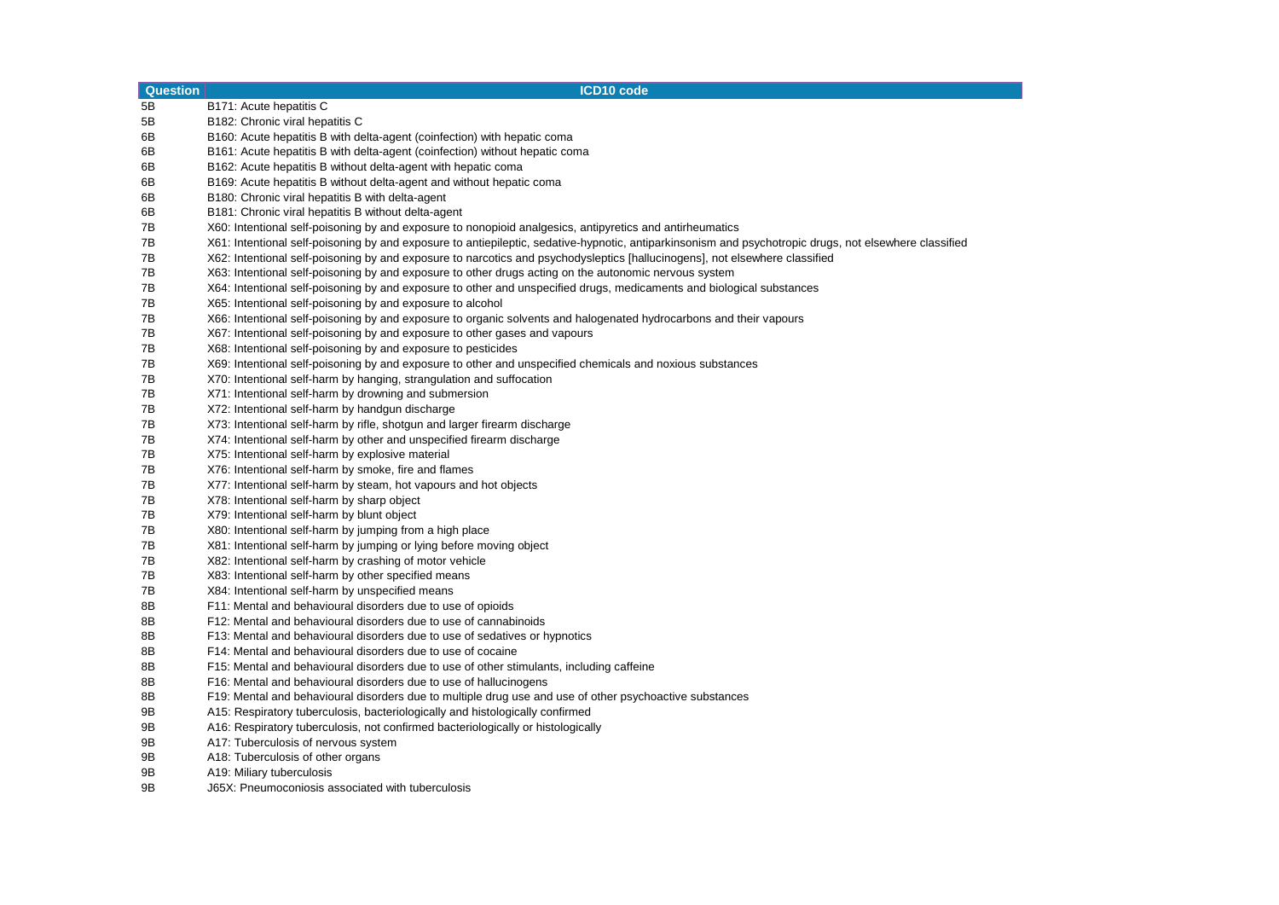| 5B<br>B171: Acute hepatitis C<br>5B<br>B182: Chronic viral hepatitis C<br>6B<br>B160: Acute hepatitis B with delta-agent (coinfection) with hepatic coma<br>6B<br>B161: Acute hepatitis B with delta-agent (coinfection) without hepatic coma<br>6B<br>B162: Acute hepatitis B without delta-agent with hepatic coma<br>6B<br>B169: Acute hepatitis B without delta-agent and without hepatic coma<br>6B<br>B180: Chronic viral hepatitis B with delta-agent<br>6B<br>B181: Chronic viral hepatitis B without delta-agent<br>X60: Intentional self-poisoning by and exposure to nonopioid analgesics, antipyretics and antirheumatics<br>7В<br>7B<br>X61: Intentional self-poisoning by and exposure to antiepileptic, sedative-hypnotic, antiparkinsonism and psychotropic drugs, not elsewhere classified<br>7B<br>X62: Intentional self-poisoning by and exposure to narcotics and psychodysleptics [hallucinogens], not elsewhere classified<br>7B<br>X63: Intentional self-poisoning by and exposure to other drugs acting on the autonomic nervous system<br>X64: Intentional self-poisoning by and exposure to other and unspecified drugs, medicaments and biological substances<br>7B<br>7B<br>X65: Intentional self-poisoning by and exposure to alcohol<br>X66: Intentional self-poisoning by and exposure to organic solvents and halogenated hydrocarbons and their vapours<br>7B<br>7B<br>X67: Intentional self-poisoning by and exposure to other gases and vapours<br>7B<br>X68: Intentional self-poisoning by and exposure to pesticides<br>7B<br>X69: Intentional self-poisoning by and exposure to other and unspecified chemicals and noxious substances<br>7B<br>X70: Intentional self-harm by hanging, strangulation and suffocation<br>X71: Intentional self-harm by drowning and submersion<br>7B<br>7B<br>X72: Intentional self-harm by handgun discharge<br>7B<br>X73: Intentional self-harm by rifle, shotgun and larger firearm discharge<br>7B<br>X74: Intentional self-harm by other and unspecified firearm discharge<br>7B<br>X75: Intentional self-harm by explosive material<br>7B<br>X76: Intentional self-harm by smoke, fire and flames<br>7B<br>X77: Intentional self-harm by steam, hot vapours and hot objects<br>7B<br>X78: Intentional self-harm by sharp object<br>7B<br>X79: Intentional self-harm by blunt object<br>7B<br>X80: Intentional self-harm by jumping from a high place<br>7B<br>X81: Intentional self-harm by jumping or lying before moving object<br>7B<br>X82: Intentional self-harm by crashing of motor vehicle<br>7B<br>X83: Intentional self-harm by other specified means<br>7B<br>X84: Intentional self-harm by unspecified means<br>8B<br>F11: Mental and behavioural disorders due to use of opioids<br>8B<br>F12: Mental and behavioural disorders due to use of cannabinoids<br>8B<br>F13: Mental and behavioural disorders due to use of sedatives or hypnotics<br>8B<br>F14: Mental and behavioural disorders due to use of cocaine<br>8B<br>F15: Mental and behavioural disorders due to use of other stimulants, including caffeine<br>8B<br>F16: Mental and behavioural disorders due to use of hallucinogens<br>F19: Mental and behavioural disorders due to multiple drug use and use of other psychoactive substances<br>8B<br>9B<br>A15: Respiratory tuberculosis, bacteriologically and histologically confirmed<br>9Β<br>A16: Respiratory tuberculosis, not confirmed bacteriologically or histologically<br>A17: Tuberculosis of nervous system<br>9Β<br>9B<br>A18: Tuberculosis of other organs | <b>Question</b> | <b>ICD10 code</b> |
|------------------------------------------------------------------------------------------------------------------------------------------------------------------------------------------------------------------------------------------------------------------------------------------------------------------------------------------------------------------------------------------------------------------------------------------------------------------------------------------------------------------------------------------------------------------------------------------------------------------------------------------------------------------------------------------------------------------------------------------------------------------------------------------------------------------------------------------------------------------------------------------------------------------------------------------------------------------------------------------------------------------------------------------------------------------------------------------------------------------------------------------------------------------------------------------------------------------------------------------------------------------------------------------------------------------------------------------------------------------------------------------------------------------------------------------------------------------------------------------------------------------------------------------------------------------------------------------------------------------------------------------------------------------------------------------------------------------------------------------------------------------------------------------------------------------------------------------------------------------------------------------------------------------------------------------------------------------------------------------------------------------------------------------------------------------------------------------------------------------------------------------------------------------------------------------------------------------------------------------------------------------------------------------------------------------------------------------------------------------------------------------------------------------------------------------------------------------------------------------------------------------------------------------------------------------------------------------------------------------------------------------------------------------------------------------------------------------------------------------------------------------------------------------------------------------------------------------------------------------------------------------------------------------------------------------------------------------------------------------------------------------------------------------------------------------------------------------------------------------------------------------------------------------------------------------------------------------------------------------------------------------------------------------------------------------------------------------------------------------------------------------------------------------------------------------------------------------------------------------------------------------------------------------------------------------------------------|-----------------|-------------------|
|                                                                                                                                                                                                                                                                                                                                                                                                                                                                                                                                                                                                                                                                                                                                                                                                                                                                                                                                                                                                                                                                                                                                                                                                                                                                                                                                                                                                                                                                                                                                                                                                                                                                                                                                                                                                                                                                                                                                                                                                                                                                                                                                                                                                                                                                                                                                                                                                                                                                                                                                                                                                                                                                                                                                                                                                                                                                                                                                                                                                                                                                                                                                                                                                                                                                                                                                                                                                                                                                                                                                                                                    |                 |                   |
|                                                                                                                                                                                                                                                                                                                                                                                                                                                                                                                                                                                                                                                                                                                                                                                                                                                                                                                                                                                                                                                                                                                                                                                                                                                                                                                                                                                                                                                                                                                                                                                                                                                                                                                                                                                                                                                                                                                                                                                                                                                                                                                                                                                                                                                                                                                                                                                                                                                                                                                                                                                                                                                                                                                                                                                                                                                                                                                                                                                                                                                                                                                                                                                                                                                                                                                                                                                                                                                                                                                                                                                    |                 |                   |
|                                                                                                                                                                                                                                                                                                                                                                                                                                                                                                                                                                                                                                                                                                                                                                                                                                                                                                                                                                                                                                                                                                                                                                                                                                                                                                                                                                                                                                                                                                                                                                                                                                                                                                                                                                                                                                                                                                                                                                                                                                                                                                                                                                                                                                                                                                                                                                                                                                                                                                                                                                                                                                                                                                                                                                                                                                                                                                                                                                                                                                                                                                                                                                                                                                                                                                                                                                                                                                                                                                                                                                                    |                 |                   |
|                                                                                                                                                                                                                                                                                                                                                                                                                                                                                                                                                                                                                                                                                                                                                                                                                                                                                                                                                                                                                                                                                                                                                                                                                                                                                                                                                                                                                                                                                                                                                                                                                                                                                                                                                                                                                                                                                                                                                                                                                                                                                                                                                                                                                                                                                                                                                                                                                                                                                                                                                                                                                                                                                                                                                                                                                                                                                                                                                                                                                                                                                                                                                                                                                                                                                                                                                                                                                                                                                                                                                                                    |                 |                   |
|                                                                                                                                                                                                                                                                                                                                                                                                                                                                                                                                                                                                                                                                                                                                                                                                                                                                                                                                                                                                                                                                                                                                                                                                                                                                                                                                                                                                                                                                                                                                                                                                                                                                                                                                                                                                                                                                                                                                                                                                                                                                                                                                                                                                                                                                                                                                                                                                                                                                                                                                                                                                                                                                                                                                                                                                                                                                                                                                                                                                                                                                                                                                                                                                                                                                                                                                                                                                                                                                                                                                                                                    |                 |                   |
|                                                                                                                                                                                                                                                                                                                                                                                                                                                                                                                                                                                                                                                                                                                                                                                                                                                                                                                                                                                                                                                                                                                                                                                                                                                                                                                                                                                                                                                                                                                                                                                                                                                                                                                                                                                                                                                                                                                                                                                                                                                                                                                                                                                                                                                                                                                                                                                                                                                                                                                                                                                                                                                                                                                                                                                                                                                                                                                                                                                                                                                                                                                                                                                                                                                                                                                                                                                                                                                                                                                                                                                    |                 |                   |
|                                                                                                                                                                                                                                                                                                                                                                                                                                                                                                                                                                                                                                                                                                                                                                                                                                                                                                                                                                                                                                                                                                                                                                                                                                                                                                                                                                                                                                                                                                                                                                                                                                                                                                                                                                                                                                                                                                                                                                                                                                                                                                                                                                                                                                                                                                                                                                                                                                                                                                                                                                                                                                                                                                                                                                                                                                                                                                                                                                                                                                                                                                                                                                                                                                                                                                                                                                                                                                                                                                                                                                                    |                 |                   |
|                                                                                                                                                                                                                                                                                                                                                                                                                                                                                                                                                                                                                                                                                                                                                                                                                                                                                                                                                                                                                                                                                                                                                                                                                                                                                                                                                                                                                                                                                                                                                                                                                                                                                                                                                                                                                                                                                                                                                                                                                                                                                                                                                                                                                                                                                                                                                                                                                                                                                                                                                                                                                                                                                                                                                                                                                                                                                                                                                                                                                                                                                                                                                                                                                                                                                                                                                                                                                                                                                                                                                                                    |                 |                   |
|                                                                                                                                                                                                                                                                                                                                                                                                                                                                                                                                                                                                                                                                                                                                                                                                                                                                                                                                                                                                                                                                                                                                                                                                                                                                                                                                                                                                                                                                                                                                                                                                                                                                                                                                                                                                                                                                                                                                                                                                                                                                                                                                                                                                                                                                                                                                                                                                                                                                                                                                                                                                                                                                                                                                                                                                                                                                                                                                                                                                                                                                                                                                                                                                                                                                                                                                                                                                                                                                                                                                                                                    |                 |                   |
|                                                                                                                                                                                                                                                                                                                                                                                                                                                                                                                                                                                                                                                                                                                                                                                                                                                                                                                                                                                                                                                                                                                                                                                                                                                                                                                                                                                                                                                                                                                                                                                                                                                                                                                                                                                                                                                                                                                                                                                                                                                                                                                                                                                                                                                                                                                                                                                                                                                                                                                                                                                                                                                                                                                                                                                                                                                                                                                                                                                                                                                                                                                                                                                                                                                                                                                                                                                                                                                                                                                                                                                    |                 |                   |
|                                                                                                                                                                                                                                                                                                                                                                                                                                                                                                                                                                                                                                                                                                                                                                                                                                                                                                                                                                                                                                                                                                                                                                                                                                                                                                                                                                                                                                                                                                                                                                                                                                                                                                                                                                                                                                                                                                                                                                                                                                                                                                                                                                                                                                                                                                                                                                                                                                                                                                                                                                                                                                                                                                                                                                                                                                                                                                                                                                                                                                                                                                                                                                                                                                                                                                                                                                                                                                                                                                                                                                                    |                 |                   |
|                                                                                                                                                                                                                                                                                                                                                                                                                                                                                                                                                                                                                                                                                                                                                                                                                                                                                                                                                                                                                                                                                                                                                                                                                                                                                                                                                                                                                                                                                                                                                                                                                                                                                                                                                                                                                                                                                                                                                                                                                                                                                                                                                                                                                                                                                                                                                                                                                                                                                                                                                                                                                                                                                                                                                                                                                                                                                                                                                                                                                                                                                                                                                                                                                                                                                                                                                                                                                                                                                                                                                                                    |                 |                   |
|                                                                                                                                                                                                                                                                                                                                                                                                                                                                                                                                                                                                                                                                                                                                                                                                                                                                                                                                                                                                                                                                                                                                                                                                                                                                                                                                                                                                                                                                                                                                                                                                                                                                                                                                                                                                                                                                                                                                                                                                                                                                                                                                                                                                                                                                                                                                                                                                                                                                                                                                                                                                                                                                                                                                                                                                                                                                                                                                                                                                                                                                                                                                                                                                                                                                                                                                                                                                                                                                                                                                                                                    |                 |                   |
|                                                                                                                                                                                                                                                                                                                                                                                                                                                                                                                                                                                                                                                                                                                                                                                                                                                                                                                                                                                                                                                                                                                                                                                                                                                                                                                                                                                                                                                                                                                                                                                                                                                                                                                                                                                                                                                                                                                                                                                                                                                                                                                                                                                                                                                                                                                                                                                                                                                                                                                                                                                                                                                                                                                                                                                                                                                                                                                                                                                                                                                                                                                                                                                                                                                                                                                                                                                                                                                                                                                                                                                    |                 |                   |
|                                                                                                                                                                                                                                                                                                                                                                                                                                                                                                                                                                                                                                                                                                                                                                                                                                                                                                                                                                                                                                                                                                                                                                                                                                                                                                                                                                                                                                                                                                                                                                                                                                                                                                                                                                                                                                                                                                                                                                                                                                                                                                                                                                                                                                                                                                                                                                                                                                                                                                                                                                                                                                                                                                                                                                                                                                                                                                                                                                                                                                                                                                                                                                                                                                                                                                                                                                                                                                                                                                                                                                                    |                 |                   |
|                                                                                                                                                                                                                                                                                                                                                                                                                                                                                                                                                                                                                                                                                                                                                                                                                                                                                                                                                                                                                                                                                                                                                                                                                                                                                                                                                                                                                                                                                                                                                                                                                                                                                                                                                                                                                                                                                                                                                                                                                                                                                                                                                                                                                                                                                                                                                                                                                                                                                                                                                                                                                                                                                                                                                                                                                                                                                                                                                                                                                                                                                                                                                                                                                                                                                                                                                                                                                                                                                                                                                                                    |                 |                   |
|                                                                                                                                                                                                                                                                                                                                                                                                                                                                                                                                                                                                                                                                                                                                                                                                                                                                                                                                                                                                                                                                                                                                                                                                                                                                                                                                                                                                                                                                                                                                                                                                                                                                                                                                                                                                                                                                                                                                                                                                                                                                                                                                                                                                                                                                                                                                                                                                                                                                                                                                                                                                                                                                                                                                                                                                                                                                                                                                                                                                                                                                                                                                                                                                                                                                                                                                                                                                                                                                                                                                                                                    |                 |                   |
|                                                                                                                                                                                                                                                                                                                                                                                                                                                                                                                                                                                                                                                                                                                                                                                                                                                                                                                                                                                                                                                                                                                                                                                                                                                                                                                                                                                                                                                                                                                                                                                                                                                                                                                                                                                                                                                                                                                                                                                                                                                                                                                                                                                                                                                                                                                                                                                                                                                                                                                                                                                                                                                                                                                                                                                                                                                                                                                                                                                                                                                                                                                                                                                                                                                                                                                                                                                                                                                                                                                                                                                    |                 |                   |
|                                                                                                                                                                                                                                                                                                                                                                                                                                                                                                                                                                                                                                                                                                                                                                                                                                                                                                                                                                                                                                                                                                                                                                                                                                                                                                                                                                                                                                                                                                                                                                                                                                                                                                                                                                                                                                                                                                                                                                                                                                                                                                                                                                                                                                                                                                                                                                                                                                                                                                                                                                                                                                                                                                                                                                                                                                                                                                                                                                                                                                                                                                                                                                                                                                                                                                                                                                                                                                                                                                                                                                                    |                 |                   |
|                                                                                                                                                                                                                                                                                                                                                                                                                                                                                                                                                                                                                                                                                                                                                                                                                                                                                                                                                                                                                                                                                                                                                                                                                                                                                                                                                                                                                                                                                                                                                                                                                                                                                                                                                                                                                                                                                                                                                                                                                                                                                                                                                                                                                                                                                                                                                                                                                                                                                                                                                                                                                                                                                                                                                                                                                                                                                                                                                                                                                                                                                                                                                                                                                                                                                                                                                                                                                                                                                                                                                                                    |                 |                   |
|                                                                                                                                                                                                                                                                                                                                                                                                                                                                                                                                                                                                                                                                                                                                                                                                                                                                                                                                                                                                                                                                                                                                                                                                                                                                                                                                                                                                                                                                                                                                                                                                                                                                                                                                                                                                                                                                                                                                                                                                                                                                                                                                                                                                                                                                                                                                                                                                                                                                                                                                                                                                                                                                                                                                                                                                                                                                                                                                                                                                                                                                                                                                                                                                                                                                                                                                                                                                                                                                                                                                                                                    |                 |                   |
|                                                                                                                                                                                                                                                                                                                                                                                                                                                                                                                                                                                                                                                                                                                                                                                                                                                                                                                                                                                                                                                                                                                                                                                                                                                                                                                                                                                                                                                                                                                                                                                                                                                                                                                                                                                                                                                                                                                                                                                                                                                                                                                                                                                                                                                                                                                                                                                                                                                                                                                                                                                                                                                                                                                                                                                                                                                                                                                                                                                                                                                                                                                                                                                                                                                                                                                                                                                                                                                                                                                                                                                    |                 |                   |
|                                                                                                                                                                                                                                                                                                                                                                                                                                                                                                                                                                                                                                                                                                                                                                                                                                                                                                                                                                                                                                                                                                                                                                                                                                                                                                                                                                                                                                                                                                                                                                                                                                                                                                                                                                                                                                                                                                                                                                                                                                                                                                                                                                                                                                                                                                                                                                                                                                                                                                                                                                                                                                                                                                                                                                                                                                                                                                                                                                                                                                                                                                                                                                                                                                                                                                                                                                                                                                                                                                                                                                                    |                 |                   |
|                                                                                                                                                                                                                                                                                                                                                                                                                                                                                                                                                                                                                                                                                                                                                                                                                                                                                                                                                                                                                                                                                                                                                                                                                                                                                                                                                                                                                                                                                                                                                                                                                                                                                                                                                                                                                                                                                                                                                                                                                                                                                                                                                                                                                                                                                                                                                                                                                                                                                                                                                                                                                                                                                                                                                                                                                                                                                                                                                                                                                                                                                                                                                                                                                                                                                                                                                                                                                                                                                                                                                                                    |                 |                   |
|                                                                                                                                                                                                                                                                                                                                                                                                                                                                                                                                                                                                                                                                                                                                                                                                                                                                                                                                                                                                                                                                                                                                                                                                                                                                                                                                                                                                                                                                                                                                                                                                                                                                                                                                                                                                                                                                                                                                                                                                                                                                                                                                                                                                                                                                                                                                                                                                                                                                                                                                                                                                                                                                                                                                                                                                                                                                                                                                                                                                                                                                                                                                                                                                                                                                                                                                                                                                                                                                                                                                                                                    |                 |                   |
|                                                                                                                                                                                                                                                                                                                                                                                                                                                                                                                                                                                                                                                                                                                                                                                                                                                                                                                                                                                                                                                                                                                                                                                                                                                                                                                                                                                                                                                                                                                                                                                                                                                                                                                                                                                                                                                                                                                                                                                                                                                                                                                                                                                                                                                                                                                                                                                                                                                                                                                                                                                                                                                                                                                                                                                                                                                                                                                                                                                                                                                                                                                                                                                                                                                                                                                                                                                                                                                                                                                                                                                    |                 |                   |
|                                                                                                                                                                                                                                                                                                                                                                                                                                                                                                                                                                                                                                                                                                                                                                                                                                                                                                                                                                                                                                                                                                                                                                                                                                                                                                                                                                                                                                                                                                                                                                                                                                                                                                                                                                                                                                                                                                                                                                                                                                                                                                                                                                                                                                                                                                                                                                                                                                                                                                                                                                                                                                                                                                                                                                                                                                                                                                                                                                                                                                                                                                                                                                                                                                                                                                                                                                                                                                                                                                                                                                                    |                 |                   |
|                                                                                                                                                                                                                                                                                                                                                                                                                                                                                                                                                                                                                                                                                                                                                                                                                                                                                                                                                                                                                                                                                                                                                                                                                                                                                                                                                                                                                                                                                                                                                                                                                                                                                                                                                                                                                                                                                                                                                                                                                                                                                                                                                                                                                                                                                                                                                                                                                                                                                                                                                                                                                                                                                                                                                                                                                                                                                                                                                                                                                                                                                                                                                                                                                                                                                                                                                                                                                                                                                                                                                                                    |                 |                   |
|                                                                                                                                                                                                                                                                                                                                                                                                                                                                                                                                                                                                                                                                                                                                                                                                                                                                                                                                                                                                                                                                                                                                                                                                                                                                                                                                                                                                                                                                                                                                                                                                                                                                                                                                                                                                                                                                                                                                                                                                                                                                                                                                                                                                                                                                                                                                                                                                                                                                                                                                                                                                                                                                                                                                                                                                                                                                                                                                                                                                                                                                                                                                                                                                                                                                                                                                                                                                                                                                                                                                                                                    |                 |                   |
|                                                                                                                                                                                                                                                                                                                                                                                                                                                                                                                                                                                                                                                                                                                                                                                                                                                                                                                                                                                                                                                                                                                                                                                                                                                                                                                                                                                                                                                                                                                                                                                                                                                                                                                                                                                                                                                                                                                                                                                                                                                                                                                                                                                                                                                                                                                                                                                                                                                                                                                                                                                                                                                                                                                                                                                                                                                                                                                                                                                                                                                                                                                                                                                                                                                                                                                                                                                                                                                                                                                                                                                    |                 |                   |
|                                                                                                                                                                                                                                                                                                                                                                                                                                                                                                                                                                                                                                                                                                                                                                                                                                                                                                                                                                                                                                                                                                                                                                                                                                                                                                                                                                                                                                                                                                                                                                                                                                                                                                                                                                                                                                                                                                                                                                                                                                                                                                                                                                                                                                                                                                                                                                                                                                                                                                                                                                                                                                                                                                                                                                                                                                                                                                                                                                                                                                                                                                                                                                                                                                                                                                                                                                                                                                                                                                                                                                                    |                 |                   |
|                                                                                                                                                                                                                                                                                                                                                                                                                                                                                                                                                                                                                                                                                                                                                                                                                                                                                                                                                                                                                                                                                                                                                                                                                                                                                                                                                                                                                                                                                                                                                                                                                                                                                                                                                                                                                                                                                                                                                                                                                                                                                                                                                                                                                                                                                                                                                                                                                                                                                                                                                                                                                                                                                                                                                                                                                                                                                                                                                                                                                                                                                                                                                                                                                                                                                                                                                                                                                                                                                                                                                                                    |                 |                   |
|                                                                                                                                                                                                                                                                                                                                                                                                                                                                                                                                                                                                                                                                                                                                                                                                                                                                                                                                                                                                                                                                                                                                                                                                                                                                                                                                                                                                                                                                                                                                                                                                                                                                                                                                                                                                                                                                                                                                                                                                                                                                                                                                                                                                                                                                                                                                                                                                                                                                                                                                                                                                                                                                                                                                                                                                                                                                                                                                                                                                                                                                                                                                                                                                                                                                                                                                                                                                                                                                                                                                                                                    |                 |                   |
|                                                                                                                                                                                                                                                                                                                                                                                                                                                                                                                                                                                                                                                                                                                                                                                                                                                                                                                                                                                                                                                                                                                                                                                                                                                                                                                                                                                                                                                                                                                                                                                                                                                                                                                                                                                                                                                                                                                                                                                                                                                                                                                                                                                                                                                                                                                                                                                                                                                                                                                                                                                                                                                                                                                                                                                                                                                                                                                                                                                                                                                                                                                                                                                                                                                                                                                                                                                                                                                                                                                                                                                    |                 |                   |
|                                                                                                                                                                                                                                                                                                                                                                                                                                                                                                                                                                                                                                                                                                                                                                                                                                                                                                                                                                                                                                                                                                                                                                                                                                                                                                                                                                                                                                                                                                                                                                                                                                                                                                                                                                                                                                                                                                                                                                                                                                                                                                                                                                                                                                                                                                                                                                                                                                                                                                                                                                                                                                                                                                                                                                                                                                                                                                                                                                                                                                                                                                                                                                                                                                                                                                                                                                                                                                                                                                                                                                                    |                 |                   |
|                                                                                                                                                                                                                                                                                                                                                                                                                                                                                                                                                                                                                                                                                                                                                                                                                                                                                                                                                                                                                                                                                                                                                                                                                                                                                                                                                                                                                                                                                                                                                                                                                                                                                                                                                                                                                                                                                                                                                                                                                                                                                                                                                                                                                                                                                                                                                                                                                                                                                                                                                                                                                                                                                                                                                                                                                                                                                                                                                                                                                                                                                                                                                                                                                                                                                                                                                                                                                                                                                                                                                                                    |                 |                   |
|                                                                                                                                                                                                                                                                                                                                                                                                                                                                                                                                                                                                                                                                                                                                                                                                                                                                                                                                                                                                                                                                                                                                                                                                                                                                                                                                                                                                                                                                                                                                                                                                                                                                                                                                                                                                                                                                                                                                                                                                                                                                                                                                                                                                                                                                                                                                                                                                                                                                                                                                                                                                                                                                                                                                                                                                                                                                                                                                                                                                                                                                                                                                                                                                                                                                                                                                                                                                                                                                                                                                                                                    |                 |                   |
|                                                                                                                                                                                                                                                                                                                                                                                                                                                                                                                                                                                                                                                                                                                                                                                                                                                                                                                                                                                                                                                                                                                                                                                                                                                                                                                                                                                                                                                                                                                                                                                                                                                                                                                                                                                                                                                                                                                                                                                                                                                                                                                                                                                                                                                                                                                                                                                                                                                                                                                                                                                                                                                                                                                                                                                                                                                                                                                                                                                                                                                                                                                                                                                                                                                                                                                                                                                                                                                                                                                                                                                    |                 |                   |
|                                                                                                                                                                                                                                                                                                                                                                                                                                                                                                                                                                                                                                                                                                                                                                                                                                                                                                                                                                                                                                                                                                                                                                                                                                                                                                                                                                                                                                                                                                                                                                                                                                                                                                                                                                                                                                                                                                                                                                                                                                                                                                                                                                                                                                                                                                                                                                                                                                                                                                                                                                                                                                                                                                                                                                                                                                                                                                                                                                                                                                                                                                                                                                                                                                                                                                                                                                                                                                                                                                                                                                                    |                 |                   |
|                                                                                                                                                                                                                                                                                                                                                                                                                                                                                                                                                                                                                                                                                                                                                                                                                                                                                                                                                                                                                                                                                                                                                                                                                                                                                                                                                                                                                                                                                                                                                                                                                                                                                                                                                                                                                                                                                                                                                                                                                                                                                                                                                                                                                                                                                                                                                                                                                                                                                                                                                                                                                                                                                                                                                                                                                                                                                                                                                                                                                                                                                                                                                                                                                                                                                                                                                                                                                                                                                                                                                                                    |                 |                   |
|                                                                                                                                                                                                                                                                                                                                                                                                                                                                                                                                                                                                                                                                                                                                                                                                                                                                                                                                                                                                                                                                                                                                                                                                                                                                                                                                                                                                                                                                                                                                                                                                                                                                                                                                                                                                                                                                                                                                                                                                                                                                                                                                                                                                                                                                                                                                                                                                                                                                                                                                                                                                                                                                                                                                                                                                                                                                                                                                                                                                                                                                                                                                                                                                                                                                                                                                                                                                                                                                                                                                                                                    |                 |                   |
|                                                                                                                                                                                                                                                                                                                                                                                                                                                                                                                                                                                                                                                                                                                                                                                                                                                                                                                                                                                                                                                                                                                                                                                                                                                                                                                                                                                                                                                                                                                                                                                                                                                                                                                                                                                                                                                                                                                                                                                                                                                                                                                                                                                                                                                                                                                                                                                                                                                                                                                                                                                                                                                                                                                                                                                                                                                                                                                                                                                                                                                                                                                                                                                                                                                                                                                                                                                                                                                                                                                                                                                    |                 |                   |
|                                                                                                                                                                                                                                                                                                                                                                                                                                                                                                                                                                                                                                                                                                                                                                                                                                                                                                                                                                                                                                                                                                                                                                                                                                                                                                                                                                                                                                                                                                                                                                                                                                                                                                                                                                                                                                                                                                                                                                                                                                                                                                                                                                                                                                                                                                                                                                                                                                                                                                                                                                                                                                                                                                                                                                                                                                                                                                                                                                                                                                                                                                                                                                                                                                                                                                                                                                                                                                                                                                                                                                                    |                 |                   |
|                                                                                                                                                                                                                                                                                                                                                                                                                                                                                                                                                                                                                                                                                                                                                                                                                                                                                                                                                                                                                                                                                                                                                                                                                                                                                                                                                                                                                                                                                                                                                                                                                                                                                                                                                                                                                                                                                                                                                                                                                                                                                                                                                                                                                                                                                                                                                                                                                                                                                                                                                                                                                                                                                                                                                                                                                                                                                                                                                                                                                                                                                                                                                                                                                                                                                                                                                                                                                                                                                                                                                                                    |                 |                   |
| 9Β<br>A19: Miliary tuberculosis                                                                                                                                                                                                                                                                                                                                                                                                                                                                                                                                                                                                                                                                                                                                                                                                                                                                                                                                                                                                                                                                                                                                                                                                                                                                                                                                                                                                                                                                                                                                                                                                                                                                                                                                                                                                                                                                                                                                                                                                                                                                                                                                                                                                                                                                                                                                                                                                                                                                                                                                                                                                                                                                                                                                                                                                                                                                                                                                                                                                                                                                                                                                                                                                                                                                                                                                                                                                                                                                                                                                                    |                 |                   |
| 9B<br>J65X: Pneumoconiosis associated with tuberculosis                                                                                                                                                                                                                                                                                                                                                                                                                                                                                                                                                                                                                                                                                                                                                                                                                                                                                                                                                                                                                                                                                                                                                                                                                                                                                                                                                                                                                                                                                                                                                                                                                                                                                                                                                                                                                                                                                                                                                                                                                                                                                                                                                                                                                                                                                                                                                                                                                                                                                                                                                                                                                                                                                                                                                                                                                                                                                                                                                                                                                                                                                                                                                                                                                                                                                                                                                                                                                                                                                                                            |                 |                   |